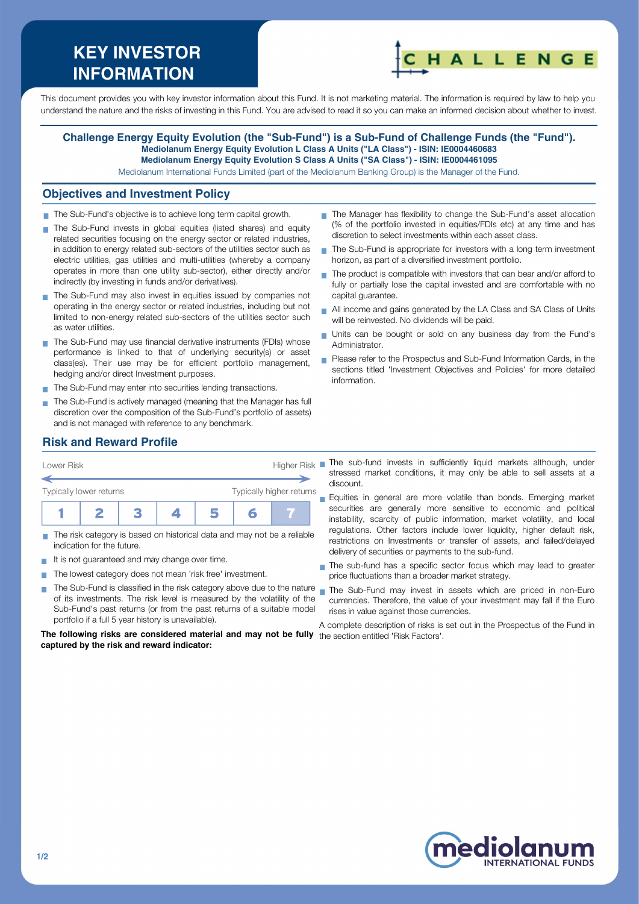# **KEY INVESTOR INFORMATION**



This document provides you with key investor information about this Fund. It is not marketing material. The information is required by law to help you understand the nature and the risks of investing in this Fund. You are advised to read it so you can make an informed decision about whether to invest.

#### **Challenge Energy Equity Evolution (the "Sub-Fund") is a Sub-Fund of Challenge Funds (the "Fund"). Mediolanum Energy Equity Evolution L Class A Units ("LA Class") - ISIN: IE0004460683 Mediolanum Energy Equity Evolution S Class A Units ("SA Class") - ISIN: IE0004461095**

Mediolanum International Funds Limited (part of the Mediolanum Banking Group) is the Manager of the Fund.

#### **Objectives and Investment Policy**

- The Sub-Fund's objective is to achieve long term capital growth.
- The Sub-Fund invests in global equities (listed shares) and equity related securities focusing on the energy sector or related industries, in addition to energy related sub-sectors of the utilities sector such as electric utilities, gas utilities and multi-utilities (whereby a company operates in more than one utility sub-sector), either directly and/or indirectly (by investing in funds and/or derivatives).
- The Sub-Fund may also invest in equities issued by companies not operating in the energy sector or related industries, including but not limited to non-energy related sub-sectors of the utilities sector such as water utilities.
- The Sub-Fund may use financial derivative instruments (FDIs) whose performance is linked to that of underlying security(s) or asset class(es). Their use may be for efficient portfolio management, hedging and/or direct Investment purposes.
- The Sub-Fund may enter into securities lending transactions.
- The Sub-Fund is actively managed (meaning that the Manager has full discretion over the composition of the Sub-Fund's portfolio of assets) and is not managed with reference to any benchmark.
- The Manager has flexibility to change the Sub-Fund's asset allocation (% of the portfolio invested in equities/FDIs etc) at any time and has discretion to select investments within each asset class.
- The Sub-Fund is appropriate for investors with a long term investment  $\overline{\phantom{a}}$ horizon, as part of a diversified investment portfolio.
- $\blacksquare$  The product is compatible with investors that can bear and/or afford to fully or partially lose the capital invested and are comfortable with no capital guarantee.
- All income and gains generated by the LA Class and SA Class of Units will be reinvested. No dividends will be paid.
- Units can be bought or sold on any business day from the Fund's Administrator.
- Please refer to the Prospectus and Sub-Fund Information Cards, in the sections titled 'Investment Objectives and Policies' for more detailed information.

## **Risk and Reward Profile**

| Lower Risk                                          |  |  |  |  |  | Higher Risk |  |
|-----------------------------------------------------|--|--|--|--|--|-------------|--|
| Typically higher returns<br>Typically lower returns |  |  |  |  |  |             |  |
|                                                     |  |  |  |  |  |             |  |

- The risk category is based on historical data and may not be a reliable indication for the future.
- It is not quaranteed and may change over time.
- The lowest category does not mean 'risk free' investment.
- **COL** The Sub-Fund is classified in the risk category above due to the nature nan the Sub-Fund may invest in assets which are priced in non-Euro of its investments. The risk level is measured by the volatility of the Sub-Fund's past returns (or from the past returns of a suitable model portfolio if a full 5 year history is unavailable).

**The following risks are considered material and may not be fully** the section entitled 'Risk Factors'.**captured by the risk and reward indicator:**

The sub-fund invests in sufficiently liquid markets although, under stressed market conditions, it may only be able to sell assets at a discount.

**Equities in general are more volatile than bonds. Emerging market** securities are generally more sensitive to economic and political instability, scarcity of public information, market volatility, and local regulations. Other factors include lower liquidity, higher default risk, restrictions on Investments or transfer of assets, and failed/delayed delivery of securities or payments to the sub-fund.

- The sub-fund has a specific sector focus which may lead to greater price fluctuations than a broader market strategy.
- currencies. Therefore, the value of your investment may fall if the Euro rises in value against those currencies.

A complete description of risks is set out in the Prospectus of the Fund in